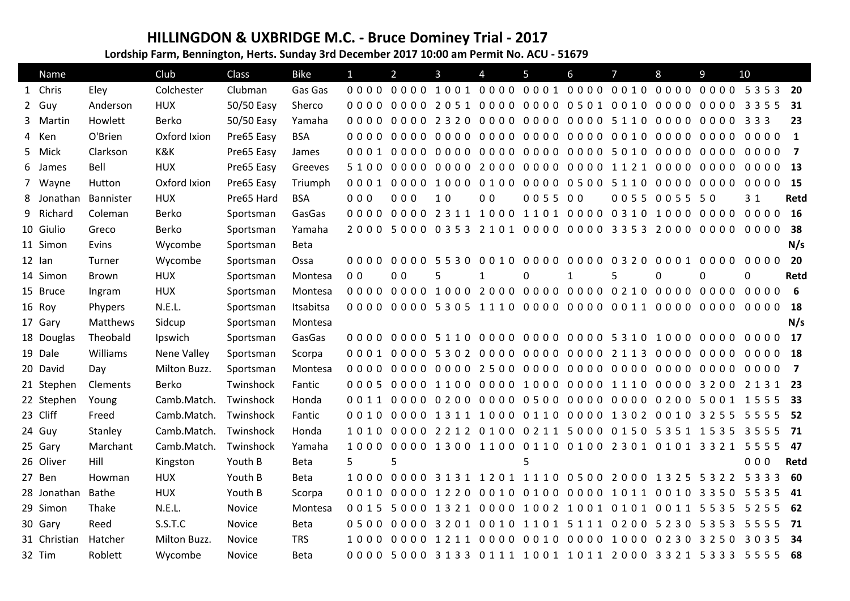## **HILLINGDON & UXBRIDGE M.C. - Bruce Dominey Trial - 2017**

**Lordship Farm, Bennington, Herts. Sunday 3rd December 2017 10:00 am Permit No. ACU - 51679**

| Name         |              | Club               | <b>Class</b> | <b>Bike</b> | $\mathbf{1}$   | $\overline{2}$      | 3  | 4              | 5                                                 | 6 | $\overline{7}$ | 8            | 9       | 10                                                   |                         |
|--------------|--------------|--------------------|--------------|-------------|----------------|---------------------|----|----------------|---------------------------------------------------|---|----------------|--------------|---------|------------------------------------------------------|-------------------------|
| 1 Chris      | Eley         | Colchester         | Clubman      | Gas Gas     |                |                     |    |                |                                                   |   |                |              |         | 0000 0000 1001 0000 0001 0000 0010 0000 0000 5353 20 |                         |
| 2 Guy        | Anderson     | <b>HUX</b>         | 50/50 Easy   | Sherco      |                |                     |    |                |                                                   |   |                |              |         | 3355                                                 | 31                      |
| 3 Martin     | Howlett      | Berko              | 50/50 Easy   | Yamaha      |                |                     |    |                | 0000 0000 2320 0000 0000 0000 5110 0000           |   |                |              | 0000    | 3 3 3                                                | 23                      |
| 4 Ken        | O'Brien      | Oxford Ixion       | Pre65 Easy   | <b>BSA</b>  |                |                     |    |                | 0000 0000 0000 0000 0000 0000 0010 0000           |   |                |              | 0000    | 0000                                                 | $\overline{\mathbf{1}}$ |
| 5 Mick       | Clarkson     | K&K                | Pre65 Easy   | James       |                | 00010000            |    |                | 0000 0000 0000 0000 5010                          |   |                | 0000         | 0000    | 0000                                                 | $\overline{7}$          |
| 6 James      | Bell         | <b>HUX</b>         | Pre65 Easy   | Greeves     | 5100 0000      |                     |    |                | 0000 2000 0000 0000 1121 0000                     |   |                |              | 0000    | 0000                                                 | 13                      |
| 7 Wayne      | Hutton       | Oxford Ixion       | Pre65 Easy   | Triumph     |                | 0001 0000 1000 0100 |    |                | 0000 0500 5110 0000                               |   |                |              | 0000    | 0000 15                                              |                         |
| 8 Jonathan   | Bannister    | <b>HUX</b>         | Pre65 Hard   | <b>BSA</b>  | 000            | 000                 | 10 | 0 <sub>0</sub> | 0055 00                                           |   |                | 0055 0055 50 |         | 3 <sub>1</sub>                                       | Retd                    |
| 9 Richard    | Coleman      | Berko              | Sportsman    | GasGas      | $0000$         |                     |    |                | 0000 2311 1000 1101 0000 0310 1000                |   |                |              | 0000    | 0000                                                 | <b>16</b>               |
| 10 Giulio    | Greco        | Berko              | Sportsman    | Yamaha      |                |                     |    |                | 2000 5000 0353 2101 0000 0000 3353 2000           |   |                |              | 0000    | 0000                                                 | 38                      |
| 11 Simon     | Evins        | Wycombe            | Sportsman    | <b>Beta</b> |                |                     |    |                |                                                   |   |                |              |         |                                                      | N/s                     |
| 12 lan       | Turner       | Wycombe            | Sportsman    | Ossa        |                | 0000 0000 5530 0010 |    |                | 0000 0000 0320 0001 0000                          |   |                |              |         | $0000$                                               | 20                      |
| 14 Simon     | Brown        | <b>HUX</b>         | Sportsman    | Montesa     | 0 <sub>0</sub> | 0 <sub>0</sub>      | 5  |                | 0                                                 | 1 | 5              | 0            | 0       | 0                                                    | Retd                    |
| 15 Bruce     | Ingram       | <b>HUX</b>         | Sportsman    | Montesa     |                |                     |    |                | 0000 0000 1000 2000 0000 0000 0210 0000 0000      |   |                |              |         | 0000                                                 | 6                       |
| 16 Roy       | Phypers      | N.E.L.             | Sportsman    | Itsabitsa   |                |                     |    |                |                                                   |   |                |              |         | 0000                                                 | 18                      |
| 17 Gary      | Matthews     | Sidcup             | Sportsman    | Montesa     |                |                     |    |                |                                                   |   |                |              |         |                                                      | N/s                     |
| 18 Douglas   | Theobald     | Ipswich            | Sportsman    | GasGas      |                |                     |    |                | 0000 0000 5110 0000 0000 0000 5310 1000 0000      |   |                |              |         | 0000 17                                              |                         |
| 19 Dale      | Williams     | <b>Nene Valley</b> | Sportsman    | Scorpa      |                |                     |    |                | 0001 0000 5302 0000 0000 0000 2113 0000           |   |                |              | 0000    | 0000 18                                              |                         |
| 20 David     | Day          | Milton Buzz.       | Sportsman    | Montesa     |                |                     |    |                |                                                   |   |                |              | 0000    | 0000                                                 | $\overline{7}$          |
| 21 Stephen   | Clements     | Berko              | Twinshock    | Fantic      |                |                     |    |                | 0005 0000 1100 0000 1000 0000 1110 0000 3200      |   |                |              |         | 2 1 3 1 23                                           |                         |
| 22 Stephen   | Young        | Camb.Match.        | Twinshock    | Honda       |                |                     |    |                |                                                   |   |                |              |         | 0011 0000 0200 0000 0500 0000 0000 0200 5001 1555 33 |                         |
| 23 Cliff     | Freed        | Camb.Match.        | Twinshock    | Fantic      |                |                     |    |                | 0010 0000 1311 1000 0110 0000 1302 0010 3255      |   |                |              |         | 5555                                                 | 52                      |
| 24 Guy       | Stanley      | Camb.Match.        | Twinshock    | Honda       |                |                     |    |                | 1010 0000 2212 0100 0211 5000 0150 5351 1535      |   |                |              |         | 3555                                                 | - 71                    |
| 25 Gary      | Marchant     | Camb.Match.        | Twinshock    | Yamaha      |                |                     |    |                |                                                   |   |                |              |         | 1000 0000 1300 1100 0110 0100 2301 0101 3321 5555 47 |                         |
| 26 Oliver    | Hill         | Kingston           | Youth B      | <b>Beta</b> | 5              | 5                   |    |                | 5                                                 |   |                |              |         | 000                                                  | Retd                    |
| 27 Ben       | Howman       | <b>HUX</b>         | Youth B      | <b>Beta</b> |                |                     |    |                | 1000 0000 3131 1201 1110 0500 2000 1325 5322 5333 |   |                |              |         |                                                      | - 60                    |
| 28 Jonathan  | <b>Bathe</b> | <b>HUX</b>         | Youth B      | Scorpa      |                |                     |    |                | 0010 0000 1220 0010 0100 0000 1011 0010 3350      |   |                |              |         | 5 5 3 5                                              | 41                      |
| 29 Simon     | Thake        | N.E.L.             | Novice       | Montesa     |                |                     |    |                | 0015 5000 1321 0000 1002 1001 0101 0011 5535      |   |                |              |         | 5 2 5 5                                              | 62                      |
| 30 Gary      | Reed         | S.S.T.C            | Novice       | Beta        |                |                     |    |                | 0500 0000 3201 0010 1101 5111 0200 5230           |   |                |              | 5 3 5 3 | 5555                                                 | 71                      |
| 31 Christian | Hatcher      | Milton Buzz.       | Novice       | <b>TRS</b>  |                |                     |    |                | 1000 0000 1211 0000 0010 0000 1000 0230 3250      |   |                |              |         | 3035                                                 | 34                      |
| 32 Tim       | Roblett      | Wycombe            | Novice       | <b>Beta</b> |                |                     |    |                |                                                   |   |                |              |         | 0000 5000 3133 0111 1001 1011 2000 3321 5333 5555 68 |                         |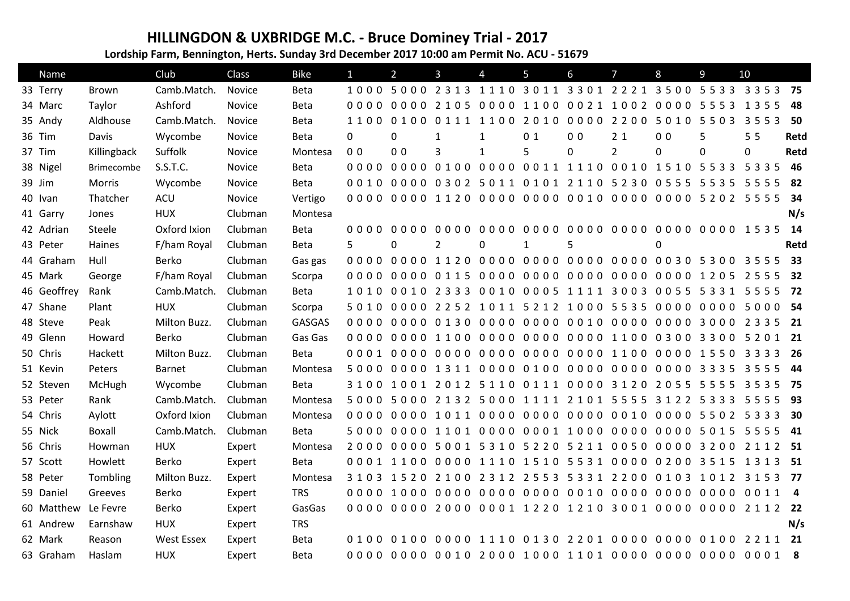## **HILLINGDON & UXBRIDGE M.C. - Bruce Dominey Trial - 2017**

**Lordship Farm, Bennington, Herts. Sunday 3rd December 2017 10:00 am Permit No. ACU - 51679**

| Name        |                   | Club              | Class   | <b>Bike</b>   | $\mathbf{1}$   | $\overline{2}$ | 3                                                                               | 4            | 5                                  | 6              | 7              | 8              | 9        | 10           |      |
|-------------|-------------------|-------------------|---------|---------------|----------------|----------------|---------------------------------------------------------------------------------|--------------|------------------------------------|----------------|----------------|----------------|----------|--------------|------|
| 33 Terry    | <b>Brown</b>      | Camb.Match.       | Novice  | <b>Beta</b>   |                |                | 1000 5000 2313 1110 3011 3301 2221 3500 5533 3353 75                            |              |                                    |                |                |                |          |              |      |
| 34 Marc     | Taylor            | Ashford           | Novice  | <b>Beta</b>   |                |                | 0000 0000 2105 0000 1100 0021 1002 0000 5553 1355                               |              |                                    |                |                |                |          |              | 48   |
| 35 Andy     | Aldhouse          | Camb.Match.       | Novice  | Beta          |                |                | 1100 0100 0111 1100 2010 0000 2200 5010 5503                                    |              |                                    |                |                |                |          | 3553         | 50   |
| 36 Tim      | Davis             | Wycombe           | Novice  | <b>Beta</b>   | 0              | 0              | 1                                                                               | 1            | 0 <sub>1</sub>                     | 0 <sub>0</sub> | 2 <sub>1</sub> | 0 <sub>0</sub> | 5        | 55           | Retd |
| 37 Tim      | Killingback       | Suffolk           | Novice  | Montesa       | 0 <sub>0</sub> | 0 <sub>0</sub> | 3                                                                               | $\mathbf{1}$ | 5                                  | 0              | $\overline{2}$ | 0              | $\Omega$ | $\mathbf{0}$ | Retd |
| 38 Nigel    | <b>Brimecombe</b> | S.S.T.C.          | Novice  | <b>Beta</b>   |                |                | 0000 0000 0100 0000 0011 1110 0010 1510 5533                                    |              |                                    |                |                |                |          | 5 3 3 5      | 46   |
| 39 Jim      | Morris            | Wycombe           | Novice  | Beta          |                |                | 0010 0000 0302 5011 0101 2110 5230 0555 5535 5555                               |              |                                    |                |                |                |          |              | 82   |
| 40 Ivan     | Thatcher          | ACU               | Novice  | Vertigo       |                |                |                                                                                 |              |                                    |                |                |                |          |              | 34   |
| 41 Garry    | Jones             | <b>HUX</b>        | Clubman | Montesa       |                |                |                                                                                 |              |                                    |                |                |                |          |              | N/s  |
| 42 Adrian   | Steele            | Oxford Ixion      | Clubman | <b>Beta</b>   | 0000           | 0000           | 0000                                                                            |              | 0000 0000 0000 0000 0000 0000 1535 |                |                |                |          |              | 14   |
| 43 Peter    | Haines            | F/ham Royal       | Clubman | Beta          | 5              | 0              | 2                                                                               | 0            | $\mathbf{1}$                       | 5              |                | 0              |          |              | Retd |
| 44 Graham   | Hull              | Berko             | Clubman | Gas gas       |                |                | 0000 0000 1120 0000 0000 0000 0000 0030 5300 3555                               |              |                                    |                |                |                |          |              | 33   |
| 45 Mark     | George            | F/ham Royal       | Clubman | Scorpa        |                |                |                                                                                 |              |                                    |                |                |                |          |              | 32   |
| 46 Geoffrey | Rank              | Camb.Match.       | Clubman | Beta          |                |                | 1010 0010 2333 0010 0005 1111 3003 0055 5331 5555                               |              |                                    |                |                |                |          |              | 72   |
| 47 Shane    | Plant             | <b>HUX</b>        | Clubman | Scorpa        |                |                | 5010 0000 2252 1011 5212 1000 5535 0000 0000 5000 54                            |              |                                    |                |                |                |          |              |      |
| 48 Steve    | Peak              | Milton Buzz.      | Clubman | <b>GASGAS</b> |                |                |                                                                                 |              |                                    |                |                |                |          |              | - 21 |
| 49 Glenn    | Howard            | Berko             | Clubman | Gas Gas       |                |                | 0000 0000 1100 0000 0000 0000 1100 0300 3300 5201 21                            |              |                                    |                |                |                |          |              |      |
| 50 Chris    | Hackett           | Milton Buzz.      | Clubman | <b>Beta</b>   |                |                | 0001 0000 0000 0000 0000 0000 1100 0000 1550 3333                               |              |                                    |                |                |                |          |              | -26  |
| 51 Kevin    | Peters            | Barnet            | Clubman | Montesa       |                |                |                                                                                 |              |                                    |                |                |                |          | 3555         | - 44 |
| 52 Steven   | McHugh            | Wycombe           | Clubman | Beta          |                |                | 3 1 0 0 1 0 0 1 2 0 1 2 5 1 1 0 0 1 1 1 0 0 0 0 3 1 2 0 2 0 5 5 5 5 5 5 5       |              |                                    |                |                |                |          | 3535         | - 75 |
| 53 Peter    | Rank              | Camb.Match.       | Clubman | Montesa       |                |                | 5000 5000 2132 5000 1111 2101 5555 3122 5333 5555                               |              |                                    |                |                |                |          |              | - 93 |
| 54 Chris    | Aylott            | Oxford Ixion      | Clubman | Montesa       |                |                | 0000 0000 1011 0000 0000 0000 0010 0000 5502                                    |              |                                    |                |                |                |          | 5 3 3 3      | 30   |
| 55 Nick     | Boxall            | Camb.Match.       | Clubman | Beta          |                |                |                                                                                 |              |                                    |                |                |                |          | 5555         | - 41 |
| 56 Chris    | Howman            | <b>HUX</b>        | Expert  | Montesa       |                |                | 2000 0000 5001 5310 5220 5211 0050 0000 3200 2112 51                            |              |                                    |                |                |                |          |              |      |
| 57 Scott    | Howlett           | Berko             | Expert  | <b>Beta</b>   |                |                | 0001 1100 0000 1110 1510 5531 0000 0200 3515                                    |              |                                    |                |                |                |          | 1 3 1 3      | 51   |
| 58 Peter    | Tombling          | Milton Buzz.      | Expert  | Montesa       |                |                | 3 1 0 3 1 5 2 0 2 1 0 0 2 3 1 2 2 5 5 3 5 3 3 1 2 2 0 0 0 1 0 3 1 0 1 2 3 1 5 3 |              |                                    |                |                |                |          |              | 77   |
| 59 Daniel   | Greeves           | Berko             | Expert  | <b>TRS</b>    |                |                | 0000 1000 0000 0000 0000 0010 0000 0000 0000 0011 4                             |              |                                    |                |                |                |          |              |      |
| 60 Matthew  | Le Fevre          | Berko             | Expert  | GasGas        |                |                |                                                                                 |              |                                    |                |                |                |          |              |      |
| 61 Andrew   | Earnshaw          | <b>HUX</b>        | Expert  | <b>TRS</b>    |                |                |                                                                                 |              |                                    |                |                |                |          |              | N/s  |
| 62 Mark     | Reason            | <b>West Essex</b> | Expert  | <b>Beta</b>   |                |                |                                                                                 |              |                                    |                |                |                |          |              |      |
| 63 Graham   | Haslam            | <b>HUX</b>        | Expert  | Beta          |                |                |                                                                                 |              |                                    |                |                |                |          |              |      |